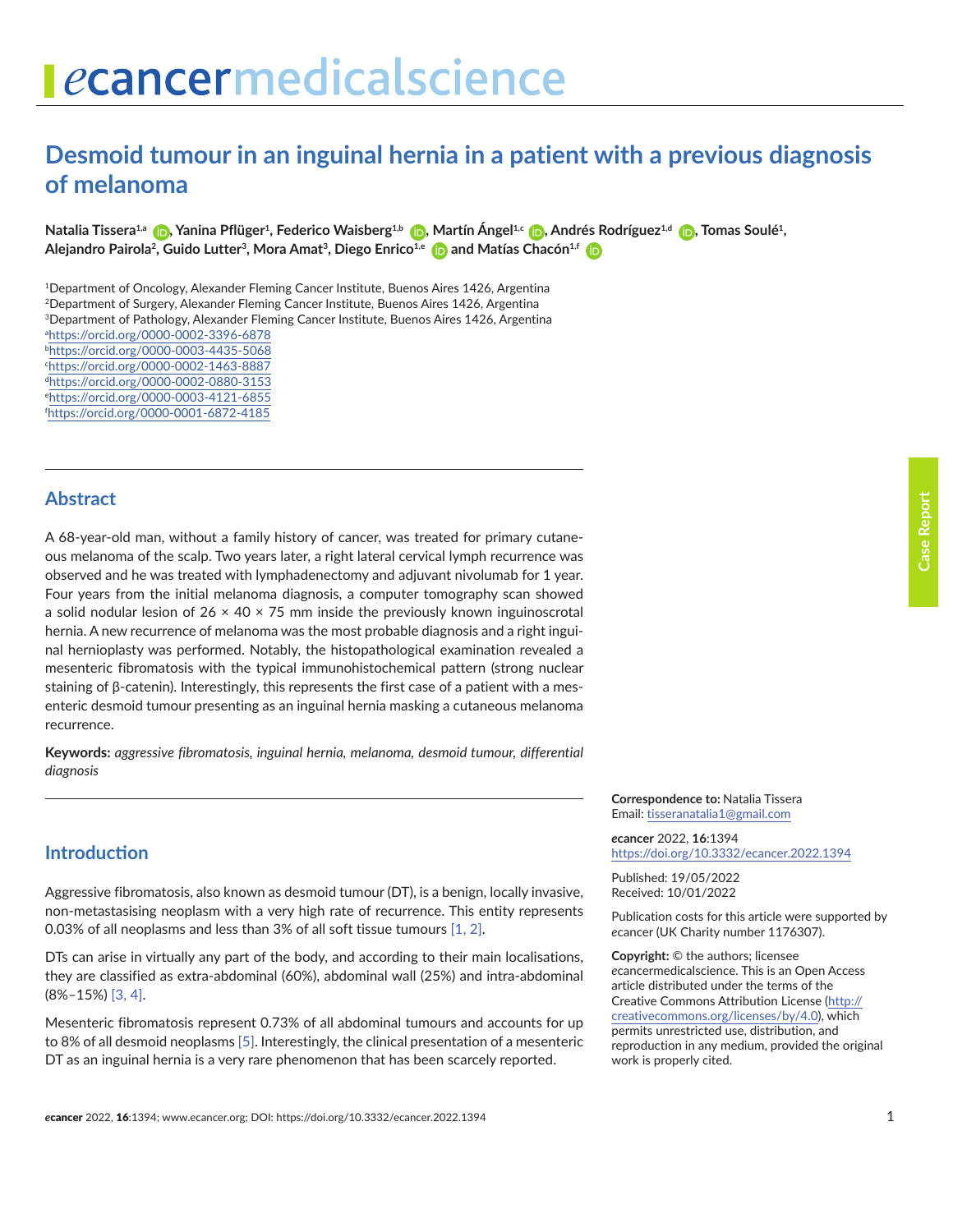# ecancermedicalscience

# **Desmoid tumour in an inguinal hernia in a patient with a previous diagnosis of melanoma**

**Natalia Tissera1,a [,](https://orcid.org/0000-0002-3396-6878) Yanina Pflüger1, Federico Waisberg1,b [,](https://orcid.org/0000-0003-4435-5068) Martín Ángel1,c [,](https://orcid.org/0000-0001-5544-458X) Andrés Rodríguez1,d [,](https://orcid.org/0000-0002-0880-3153) Tomas Soulé1, Alejandro Pairola2, Guido Lutter3, Mora Amat3, Diego Enrico1,e [a](https://orcid.org/0000-0003-4121-6855)nd Matías Chacón1,f** 

1Department of Oncology, Alexander Fleming Cancer Institute, Buenos Aires 1426, Argentina 2Department of Surgery, Alexander Fleming Cancer Institute, Buenos Aires 1426, Argentina 3Department of Pathology, Alexander Fleming Cancer Institute, Buenos Aires 1426, Argentina a <https://orcid.org/0000-0002-3396-6878> b <https://orcid.org/0000-0003-4435-5068> c <https://orcid.org/0000-0002-1463-8887> d <https://orcid.org/0000-0002-0880-3153> e <https://orcid.org/0000-0003-4121-6855> f <https://orcid.org/0000-0001-6872-4185>

#### **Abstract**

A 68-year-old man, without a family history of cancer, was treated for primary cutaneous melanoma of the scalp. Two years later, a right lateral cervical lymph recurrence was observed and he was treated with lymphadenectomy and adjuvant nivolumab for 1 year. Four years from the initial melanoma diagnosis, a computer tomography scan showed a solid nodular lesion of  $26 \times 40 \times 75$  mm inside the previously known inguinoscrotal hernia. A new recurrence of melanoma was the most probable diagnosis and a right inguinal hernioplasty was performed. Notably, the histopathological examination revealed a mesenteric fibromatosis with the typical immunohistochemical pattern (strong nuclear staining of β-catenin). Interestingly, this represents the first case of a patient with a mesenteric desmoid tumour presenting as an inguinal hernia masking a cutaneous melanoma recurrence.

**Keywords:** *aggressive fibromatosis, inguinal hernia, melanoma, desmoid tumour, differential diagnosis*

> **Correspondence to:** Natalia Tissera Email: tisseranatalia1@gmail.com

*e***cancer** 2022, **16**:1394 [https://doi.org/10.3332/ecancer.2022.139](https://doi.org/10.3332/ecancer.2022.1394)4

Published: 19/05/2022 Received: 10/01/2022

Publication costs for this article were supported by *e*cancer (UK Charity number 1176307).

**Copyright:** © the authors; licensee *e*cancermedicalscience. This is an Open Access article distributed under the terms of the Creative Commons Attribution License (http:// creativecommons.org/licenses/by/4.0), which permits unrestricted use, distribution, and reproduction in any medium, provided the original work is properly cited.

#### **Introduction**

Aggressive fibromatosis, also known as desmoid tumour (DT), is a benign, locally invasive, non-metastasising neoplasm with a very high rate of recurrence. This entity represents 0.03% of all neoplasms and less than 3% of all soft tissue tumours [\[1, 2\].](#page-4-0)

DTs can arise in virtually any part of the body, and according to their main localisations, they are classified as extra-abdominal (60%), abdominal wall (25%) and intra-abdominal (8%–15%) [\[3,](#page-5-0) [4\].](#page-5-0)

Mesenteric fibromatosis represent 0.73% of all abdominal tumours and accounts for up to 8% of all desmoid neoplasms [\[5\].](#page-5-0) Interestingly, the clinical presentation of a mesenteric DT as an inguinal hernia is a very rare phenomenon that has been scarcely reported.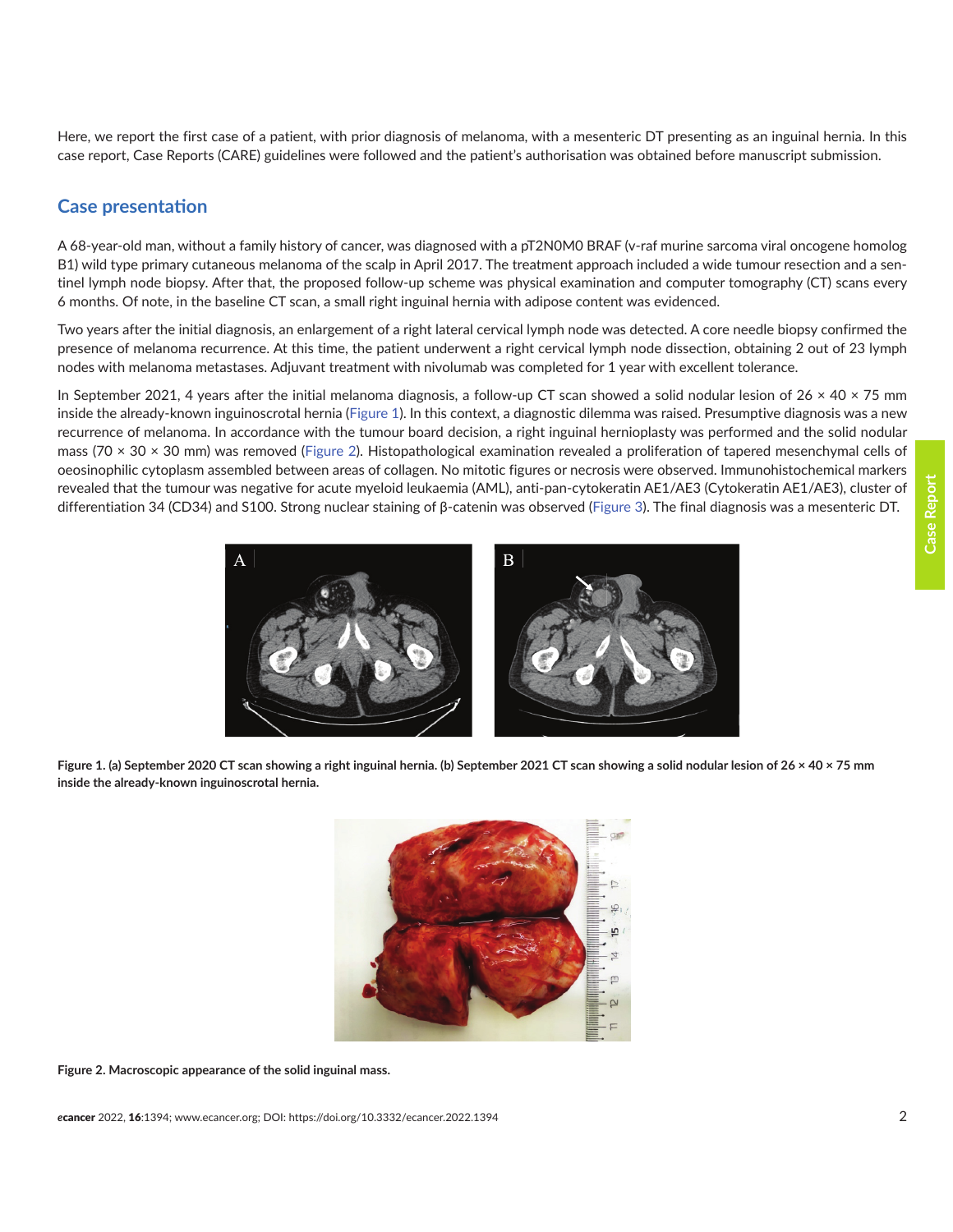Here, we report the first case of a patient, with prior diagnosis of melanoma, with a mesenteric DT presenting as an inguinal hernia. In this case report, Case Reports (CARE) guidelines were followed and the patient's authorisation was obtained before manuscript submission.

### **Case presentation**

A 68-year-old man, without a family history of cancer, was diagnosed with a pT2N0M0 BRAF (v-raf murine sarcoma viral oncogene homolog B1) wild type primary cutaneous melanoma of the scalp in April 2017. The treatment approach included a wide tumour resection and a sentinel lymph node biopsy. After that, the proposed follow-up scheme was physical examination and computer tomography (CT) scans every 6 months. Of note, in the baseline CT scan, a small right inguinal hernia with adipose content was evidenced.

Two years after the initial diagnosis, an enlargement of a right lateral cervical lymph node was detected. A core needle biopsy confirmed the presence of melanoma recurrence. At this time, the patient underwent a right cervical lymph node dissection, obtaining 2 out of 23 lymph nodes with melanoma metastases. Adjuvant treatment with nivolumab was completed for 1 year with excellent tolerance.

In September 2021, 4 years after the initial melanoma diagnosis, a follow-up CT scan showed a solid nodular lesion of  $26 \times 40 \times 75$  mm inside the already-known inguinoscrotal hernia (Figure 1). In this context, a diagnostic dilemma was raised. Presumptive diagnosis was a new recurrence of melanoma. In accordance with the tumour board decision, a right inguinal hernioplasty was performed and the solid nodular mass (70  $\times$  30  $\times$  30 mm) was removed (Figure 2). Histopathological examination revealed a proliferation of tapered mesenchymal cells of oeosinophilic cytoplasm assembled between areas of collagen. No mitotic figures or necrosis were observed. Immunohistochemical markers revealed that the tumour was negative for acute myeloid leukaemia (AML), anti-pan-cytokeratin AE1/AE3 (Cytokeratin AE1/AE3), cluster of differentiation 34 (CD34) and S100. Strong nuclear staining of β-catenin was observed ([Figure 3](#page-2-0)). The final diagnosis was a mesenteric DT.



**Figure 1. (a) September 2020 CT scan showing a right inguinal hernia. (b) September 2021 CT scan showing a solid nodular lesion of 26 × 40 × 75 mm inside the already-known inguinoscrotal hernia.**



**Figure 2. Macroscopic appearance of the solid inguinal mass.**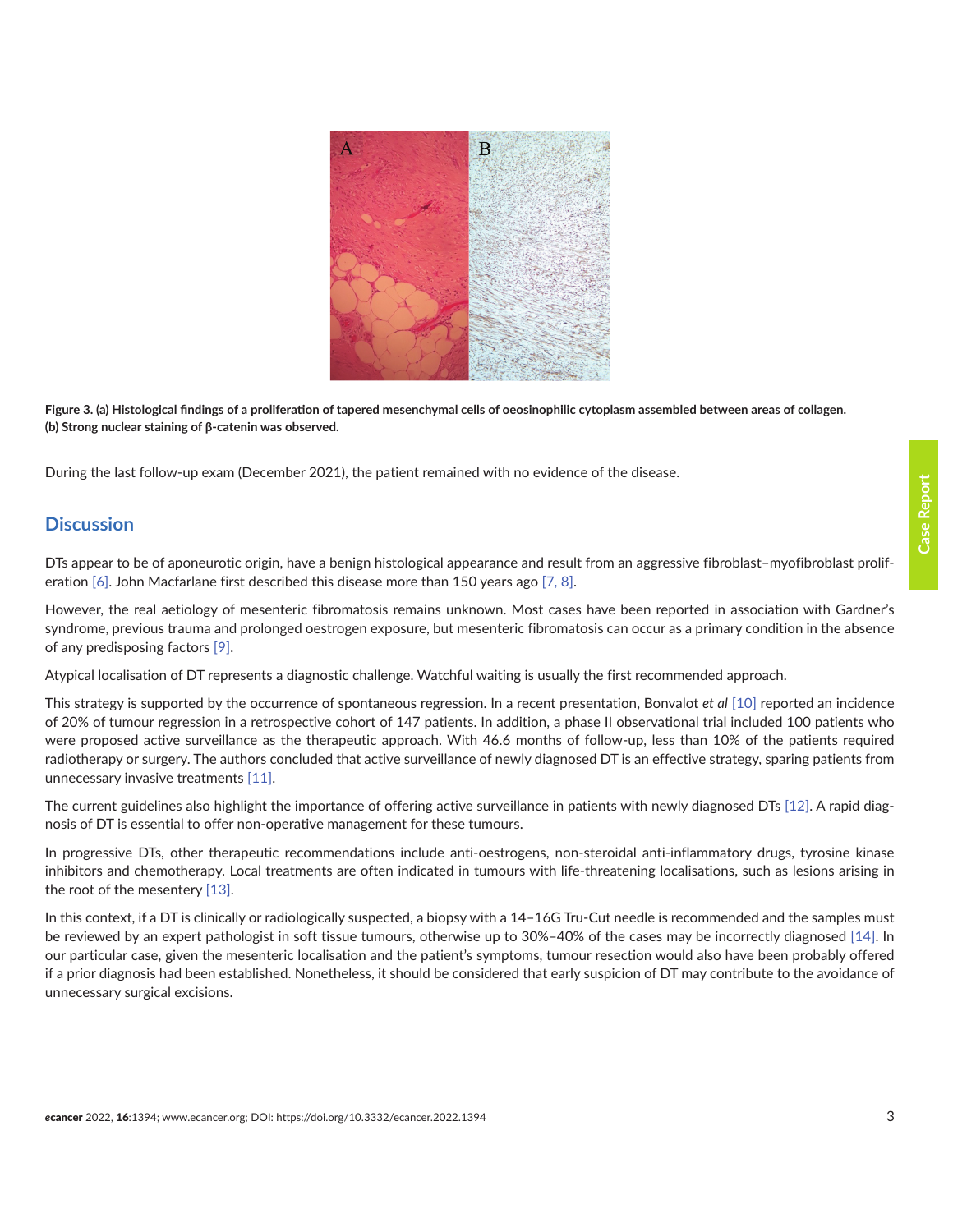<span id="page-2-0"></span>

**Figure 3. (a) Histological findings of a proliferation of tapered mesenchymal cells of oeosinophilic cytoplasm assembled between areas of collagen. (b) Strong nuclear staining of β-catenin was observed.** 

During the last follow-up exam (December 2021), the patient remained with no evidence of the disease.

### **Discussion**

DTs appear to be of aponeurotic origin, have a benign histological appearance and result from an aggressive fibroblast–myofibroblast prolif-eration [\[6\].](#page-5-0) John Macfarlane first described this disease more than 150 years ago [\[7,](#page-5-0) [8\].](#page-5-0)

However, the real aetiology of mesenteric fibromatosis remains unknown. Most cases have been reported in association with Gardner's syndrome, previous trauma and prolonged oestrogen exposure, but mesenteric fibromatosis can occur as a primary condition in the absence of any predisposing factors [\[9\].](#page-5-0)

Atypical localisation of DT represents a diagnostic challenge. Watchful waiting is usually the first recommended approach.

This strategy is supported by the occurrence of spontaneous regression. In a recent presentation, Bonvalot *et al* [\[10\]](#page-5-0) reported an incidence of 20% of tumour regression in a retrospective cohort of 147 patients. In addition, a phase II observational trial included 100 patients who were proposed active surveillance as the therapeutic approach. With 46.6 months of follow-up, less than 10% of the patients required radiotherapy or surgery. The authors concluded that active surveillance of newly diagnosed DT is an effective strategy, sparing patients from unnecessary invasive treatments [\[11\].](#page-5-0)

The current guidelines also highlight the importance of offering active surveillance in patients with newly diagnosed DTs [\[12\]](#page-5-0). A rapid diagnosis of DT is essential to offer non-operative management for these tumours.

In progressive DTs, other therapeutic recommendations include anti-oestrogens, non-steroidal anti-inflammatory drugs, tyrosine kinase inhibitors and chemotherapy. Local treatments are often indicated in tumours with life-threatening localisations, such as lesions arising in the root of the mesentery [\[13\]](#page-5-0).

In this context, if a DT is clinically or radiologically suspected, a biopsy with a 14–16G Tru-Cut needle is recommended and the samples must be reviewed by an expert pathologist in soft tissue tumours, otherwise up to 30%–40% of the cases may be incorrectly diagnosed [\[14\].](#page-5-0) In our particular case, given the mesenteric localisation and the patient's symptoms, tumour resection would also have been probably offered if a prior diagnosis had been established. Nonetheless, it should be considered that early suspicion of DT may contribute to the avoidance of unnecessary surgical excisions.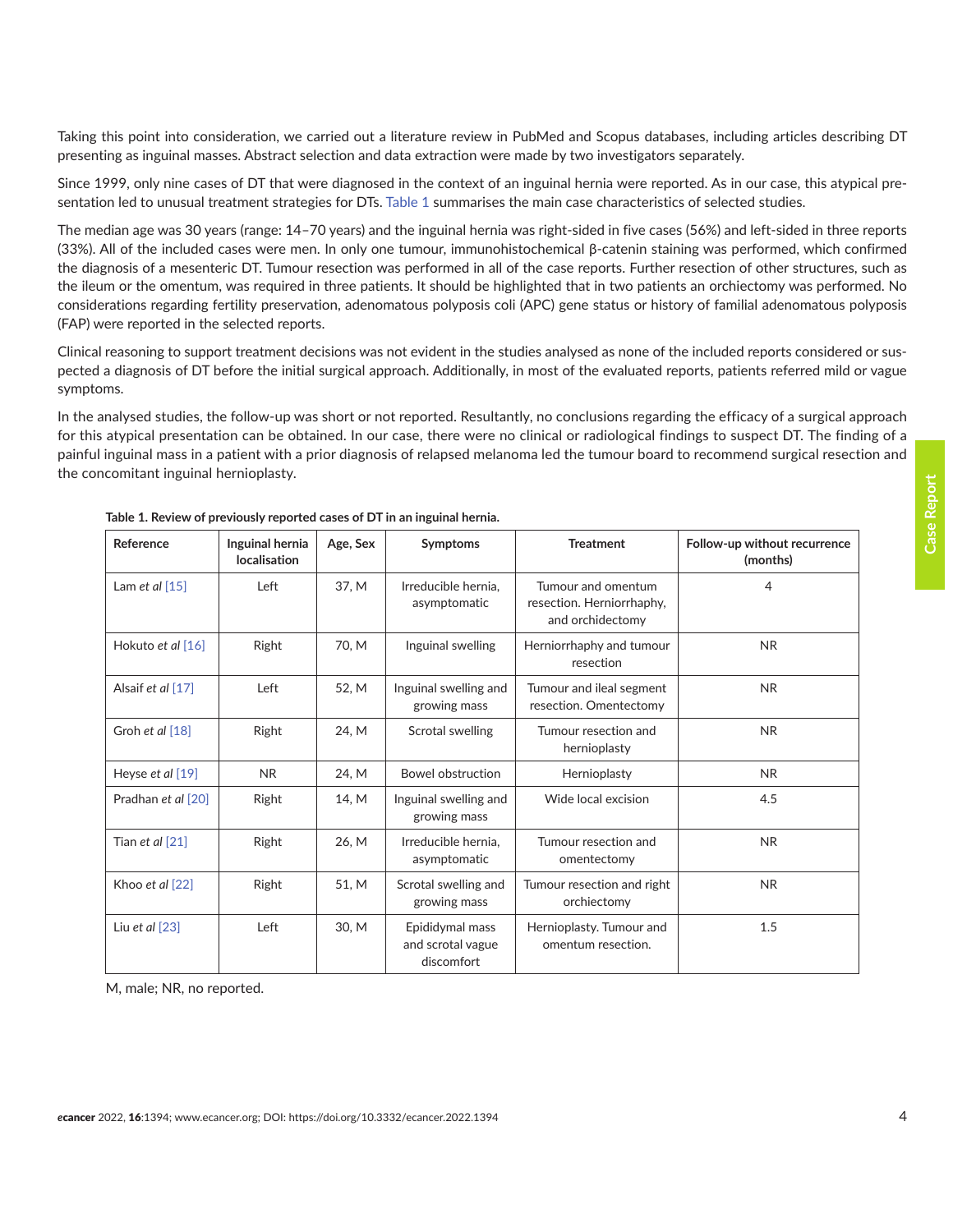Taking this point into consideration, we carried out a literature review in PubMed and Scopus databases, including articles describing DT presenting as inguinal masses. Abstract selection and data extraction were made by two investigators separately.

Since 1999, only nine cases of DT that were diagnosed in the context of an inguinal hernia were reported. As in our case, this atypical presentation led to unusual treatment strategies for DTs. Table 1 summarises the main case characteristics of selected studies.

The median age was 30 years (range: 14–70 years) and the inguinal hernia was right-sided in five cases (56%) and left-sided in three reports (33%). All of the included cases were men. In only one tumour, immunohistochemical β-catenin staining was performed, which confirmed the diagnosis of a mesenteric DT. Tumour resection was performed in all of the case reports. Further resection of other structures, such as the ileum or the omentum, was required in three patients. It should be highlighted that in two patients an orchiectomy was performed. No considerations regarding fertility preservation, adenomatous polyposis coli (APC) gene status or history of familial adenomatous polyposis (FAP) were reported in the selected reports.

Clinical reasoning to support treatment decisions was not evident in the studies analysed as none of the included reports considered or suspected a diagnosis of DT before the initial surgical approach. Additionally, in most of the evaluated reports, patients referred mild or vague symptoms.

In the analysed studies, the follow-up was short or not reported. Resultantly, no conclusions regarding the efficacy of a surgical approach for this atypical presentation can be obtained. In our case, there were no clinical or radiological findings to suspect DT. The finding of a painful inguinal mass in a patient with a prior diagnosis of relapsed melanoma led the tumour board to recommend surgical resection and the concomitant inguinal hernioplasty.

| Reference          | Inguinal hernia<br>localisation | Age, Sex | Symptoms                                           | <b>Treatment</b>                                                    | Follow-up without recurrence<br>(months) |
|--------------------|---------------------------------|----------|----------------------------------------------------|---------------------------------------------------------------------|------------------------------------------|
| Lam et al $[15]$   | Left                            | 37, M    | Irreducible hernia.<br>asymptomatic                | Tumour and omentum<br>resection. Herniorrhaphy,<br>and orchidectomy | 4                                        |
| Hokuto et al [16]  | Right                           | 70, M    | Inguinal swelling                                  | Herniorrhaphy and tumour<br>resection                               | <b>NR</b>                                |
| Alsaif et al [17]  | Left                            | 52, M    | Inguinal swelling and<br>growing mass              | Tumour and ileal segment<br>resection. Omentectomy                  | <b>NR</b>                                |
| Groh et al [18]    | Right                           | 24, M    | Scrotal swelling                                   | Tumour resection and<br>hernioplasty                                | <b>NR</b>                                |
| Heyse et al [19]   | <b>NR</b>                       | 24, M    | <b>Bowel obstruction</b>                           | Hernioplasty                                                        | <b>NR</b>                                |
| Pradhan et al [20] | Right                           | 14, M    | Inguinal swelling and<br>growing mass              | Wide local excision                                                 | 4.5                                      |
| Tian et al $[21]$  | Right                           | 26, M    | Irreducible hernia.<br>asymptomatic                | Tumour resection and<br>omentectomy                                 | <b>NR</b>                                |
| Khoo et al [22]    | Right                           | 51, M    | Scrotal swelling and<br>growing mass               | Tumour resection and right<br>orchiectomy                           | <b>NR</b>                                |
| Liu et al $[23]$   | Left                            | 30, M    | Epididymal mass<br>and scrotal vague<br>discomfort | Hernioplasty. Tumour and<br>omentum resection.                      | 1.5                                      |

| Table 1. Review of previously reported cases of DT in an inguinal hernia. |  |
|---------------------------------------------------------------------------|--|
|---------------------------------------------------------------------------|--|

M, male; NR, no reported.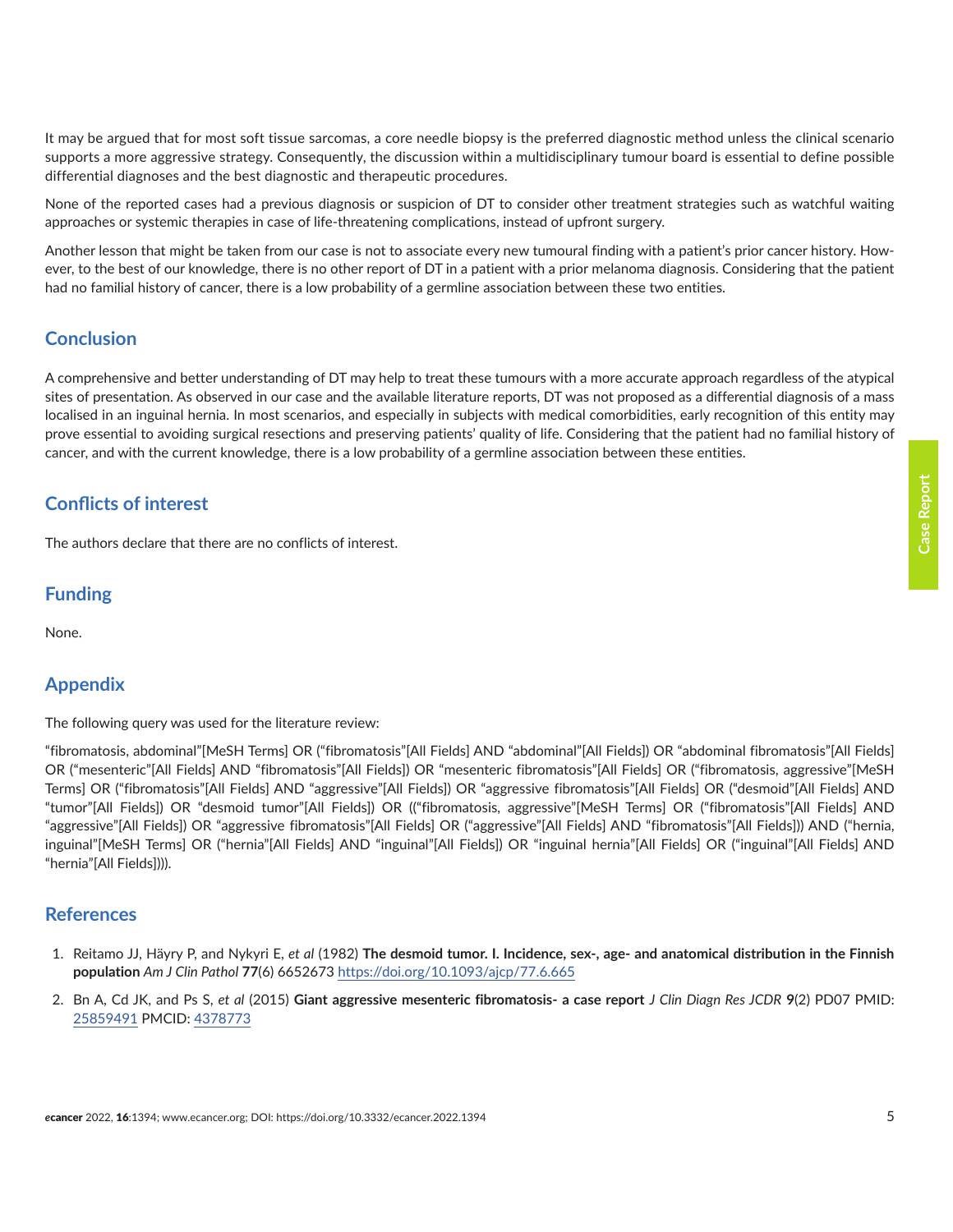**Case Report**

**Case Report** 

<span id="page-4-0"></span>It may be argued that for most soft tissue sarcomas, a core needle biopsy is the preferred diagnostic method unless the clinical scenario supports a more aggressive strategy. Consequently, the discussion within a multidisciplinary tumour board is essential to define possible differential diagnoses and the best diagnostic and therapeutic procedures.

None of the reported cases had a previous diagnosis or suspicion of DT to consider other treatment strategies such as watchful waiting approaches or systemic therapies in case of life-threatening complications, instead of upfront surgery.

Another lesson that might be taken from our case is not to associate every new tumoural finding with a patient's prior cancer history. However, to the best of our knowledge, there is no other report of DT in a patient with a prior melanoma diagnosis. Considering that the patient had no familial history of cancer, there is a low probability of a germline association between these two entities.

# **Conclusion**

A comprehensive and better understanding of DT may help to treat these tumours with a more accurate approach regardless of the atypical sites of presentation. As observed in our case and the available literature reports, DT was not proposed as a differential diagnosis of a mass localised in an inguinal hernia. In most scenarios, and especially in subjects with medical comorbidities, early recognition of this entity may prove essential to avoiding surgical resections and preserving patients' quality of life. Considering that the patient had no familial history of cancer, and with the current knowledge, there is a low probability of a germline association between these entities.

# **Conflicts of interest**

The authors declare that there are no conflicts of interest.

# **Funding**

None.

# **Appendix**

The following query was used for the literature review:

"fibromatosis, abdominal"[MeSH Terms] OR ("fibromatosis"[All Fields] AND "abdominal"[All Fields]) OR "abdominal fibromatosis"[All Fields] OR ("mesenteric"[All Fields] AND "fibromatosis"[All Fields]) OR "mesenteric fibromatosis"[All Fields] OR ("fibromatosis, aggressive"[MeSH Terms] OR ("fibromatosis"[All Fields] AND "aggressive"[All Fields]) OR "aggressive fibromatosis"[All Fields] OR ("desmoid"[All Fields] AND "tumor"[All Fields]) OR "desmoid tumor"[All Fields]) OR (("fibromatosis, aggressive"[MeSH Terms] OR ("fibromatosis"[All Fields] AND "aggressive"[All Fields]) OR "aggressive fibromatosis"[All Fields] OR ("aggressive"[All Fields] AND "fibromatosis"[All Fields])) AND ("hernia, inguinal"[MeSH Terms] OR ("hernia"[All Fields] AND "inguinal"[All Fields]) OR "inguinal hernia"[All Fields] OR ("inguinal"[All Fields] AND "hernia"[All Fields]))).

#### **References**

- 1. Reitamo JJ, Häyry P, and Nykyri E, *et al* (1982) **The desmoid tumor. I. Incidence, sex-, age- and anatomical distribution in the Finnish population** *Am J Clin Pathol* **77**(6) 6652673<https://doi.org/10.1093/ajcp/77.6.665>
- 2. Bn A, Cd JK, and Ps S, *et al* (2015) **Giant aggressive mesenteric fibromatosis- a case report** *J Clin Diagn Res JCDR* **9**(2) PD07 PMID: [25859491](http://www.ncbi.nlm.nih.gov/pubmed/25859491) PMCID: [4378773](http://www.ncbi.nlm.nih.gov/pmc/articles/PMC4378773)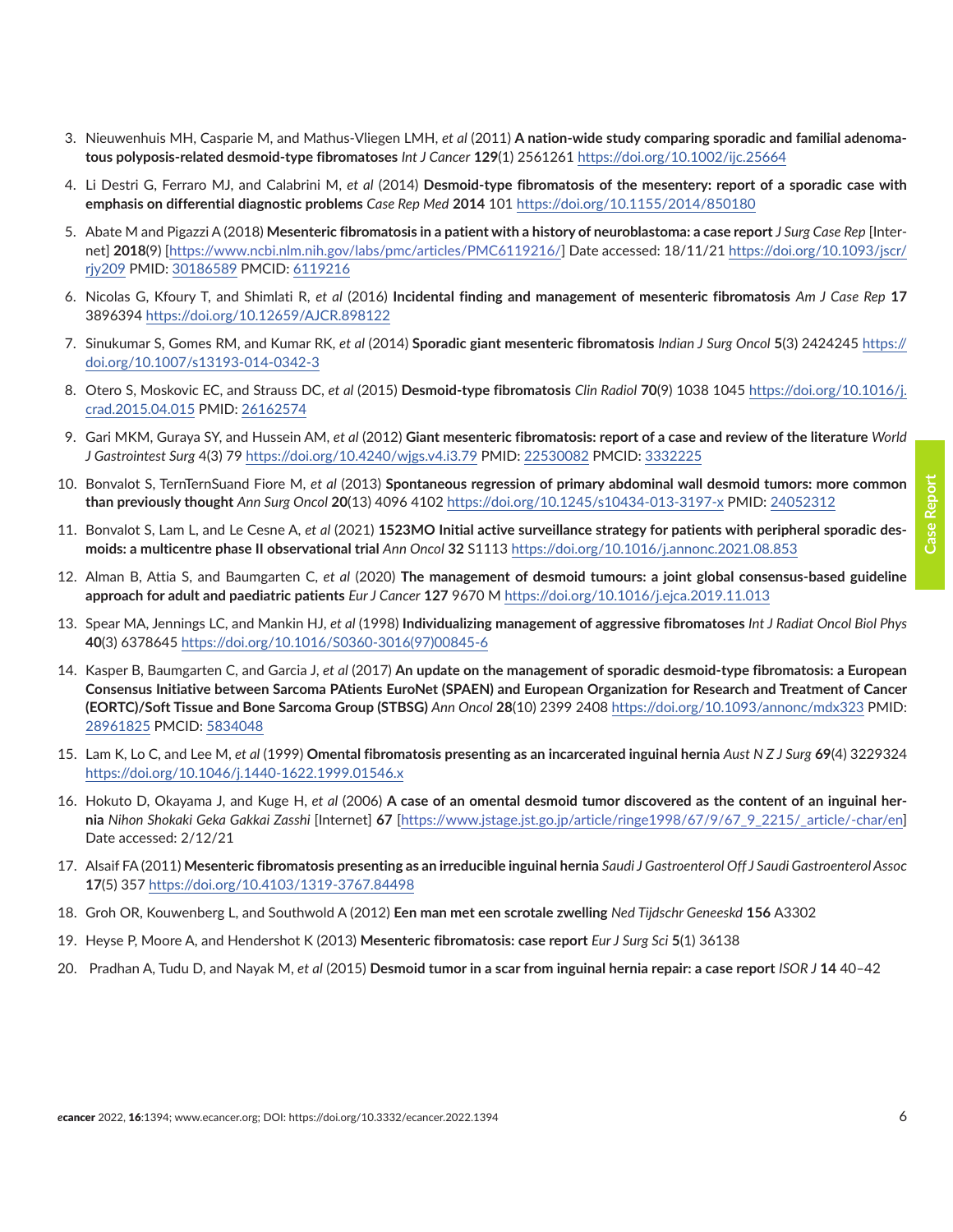- <span id="page-5-0"></span>3. Nieuwenhuis MH, Casparie M, and Mathus-Vliegen LMH, *et al* (2011) **A nation-wide study comparing sporadic and familial adenomatous polyposis-related desmoid-type fibromatoses** *Int J Cancer* **129**(1) 2561261<https://doi.org/10.1002/ijc.25664>
- 4. Li Destri G, Ferraro MJ, and Calabrini M, *et al* (2014) **Desmoid-type fibromatosis of the mesentery: report of a sporadic case with emphasis on differential diagnostic problems** *Case Rep Med* **2014** 101<https://doi.org/10.1155/2014/850180>
- 5. Abate M and Pigazzi A (2018) **Mesenteric fibromatosis in a patient with a history of neuroblastoma: a case report** *J Surg Case Rep* [Internet] **2018**(9) [[https://www.ncbi.nlm.nih.gov/labs/pmc/articles/PMC6119216/\]](https://www.ncbi.nlm.nih.gov/labs/pmc/articles/PMC6119216/) Date accessed: 18/11/21 [https://doi.org/10.1093/jscr/](https://doi.org/10.1093/jscr/rjy209) [rjy209](https://doi.org/10.1093/jscr/rjy209) PMID: [30186589](http://www.ncbi.nlm.nih.gov/pubmed/30186589) PMCID: [6119216](http://www.ncbi.nlm.nih.gov/pmc/articles/PMC6119216)
- 6. Nicolas G, Kfoury T, and Shimlati R, *et al* (2016) **Incidental finding and management of mesenteric fibromatosis** *Am J Case Rep* **17** 3896394 <https://doi.org/10.12659/AJCR.898122>
- 7. Sinukumar S, Gomes RM, and Kumar RK, *et al* (2014) **Sporadic giant mesenteric fibromatosis** *Indian J Surg Oncol* **5**(3) 2424245 [https://](https://doi.org/10.1007/s13193-014-0342-3) [doi.org/10.1007/s13193-014-0342-3](https://doi.org/10.1007/s13193-014-0342-3)
- 8. Otero S, Moskovic EC, and Strauss DC, *et al* (2015) **Desmoid-type fibromatosis** *Clin Radiol* **70**(9) 1038 1045 [https://doi.org/10.1016/j.](https://doi.org/10.1016/j.crad.2015.04.015) [crad.2015.04.015](https://doi.org/10.1016/j.crad.2015.04.015) PMID: [26162574](http://www.ncbi.nlm.nih.gov/pubmed/26162574)
- 9. Gari MKM, Guraya SY, and Hussein AM, *et al* (2012) **Giant mesenteric fibromatosis: report of a case and review of the literature** *World J Gastrointest Surg* 4(3) 79<https://doi.org/10.4240/wjgs.v4.i3.79>PMID: [22530082](http://www.ncbi.nlm.nih.gov/pubmed/22530082) PMCID: [3332225](http://www.ncbi.nlm.nih.gov/pmc/articles/PMC3332225)
- 10. Bonvalot S, TernTernSuand Fiore M, *et al* (2013) **Spontaneous regression of primary abdominal wall desmoid tumors: more common than previously thought** *Ann Surg Oncol* **20**(13) 4096 4102<https://doi.org/10.1245/s10434-013-3197-x> PMID: [24052312](http://www.ncbi.nlm.nih.gov/pubmed/24052312)
- 11. Bonvalot S, Lam L, and Le Cesne A, *et al* (2021) **1523MO Initial active surveillance strategy for patients with peripheral sporadic desmoids: a multicentre phase II observational trial** *Ann Oncol* **32** S1113 <https://doi.org/10.1016/j.annonc.2021.08.853>
- 12. Alman B, Attia S, and Baumgarten C, *et al* (2020) **The management of desmoid tumours: a joint global consensus-based guideline approach for adult and paediatric patients** *Eur J Cancer* **127** 9670 M<https://doi.org/10.1016/j.ejca.2019.11.013>
- 13. Spear MA, Jennings LC, and Mankin HJ, *et al* (1998) **Individualizing management of aggressive fibromatoses** *Int J Radiat Oncol Biol Phys* **40**(3) 6378645 [https://doi.org/10.1016/S0360-3016\(97\)00845-6](https://doi.org/10.1016/S0360-3016(97)00845-6)
- 14. Kasper B, Baumgarten C, and Garcia J, *et al* (2017) **An update on the management of sporadic desmoid-type fibromatosis: a European Consensus Initiative between Sarcoma PAtients EuroNet (SPAEN) and European Organization for Research and Treatment of Cancer (EORTC)/Soft Tissue and Bone Sarcoma Group (STBSG)** *Ann Oncol* **28**(10) 2399 2408<https://doi.org/10.1093/annonc/mdx323> PMID: [28961825](http://www.ncbi.nlm.nih.gov/pubmed/28961825) PMCID: [5834048](http://www.ncbi.nlm.nih.gov/pmc/articles/PMC5834048)
- 15. Lam K, Lo C, and Lee M, *et al* (1999) **Omental fibromatosis presenting as an incarcerated inguinal hernia** *Aust N Z J Surg* **69**(4) 3229324 <https://doi.org/10.1046/j.1440-1622.1999.01546.x>
- 16. Hokuto D, Okayama J, and Kuge H, *et al* (2006) **A case of an omental desmoid tumor discovered as the content of an inguinal hernia** *Nihon Shokaki Geka Gakkai Zasshi* [Internet] **67** [[https://www.jstage.jst.go.jp/article/ringe1998/67/9/67\\_9\\_2215/\\_article/-char/en](https://www.jstage.jst.go.jp/article/ringe1998/67/9/67_9_2215/_article/-char/en)] Date accessed: 2/12/21
- 17. Alsaif FA (2011) **Mesenteric fibromatosis presenting as an irreducible inguinal hernia** *Saudi J Gastroenterol Off J Saudi Gastroenterol Assoc* **17**(5) 357 <https://doi.org/10.4103/1319-3767.84498>
- 18. Groh OR, Kouwenberg L, and Southwold A (2012) **Een man met een scrotale zwelling** *Ned Tijdschr Geneeskd* **156** A3302
- 19. Heyse P, Moore A, and Hendershot K (2013) **Mesenteric fibromatosis: case report** *Eur J Surg Sci* **5**(1) 36138
- 20. Pradhan A, Tudu D, and Nayak M, *et al* (2015) **Desmoid tumor in a scar from inguinal hernia repair: a case report** *ISOR J* **14** 40–42